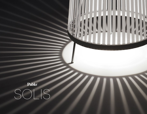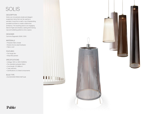# SOLIS

#### DESCRIPTION

Solis is an innovatively simple and elegant suspension lamp that can be used as a pendant, hung from a wall, or as a freestanding portable luminaire to create a distinctive ambiance. The resulting piece is an engaging blend of light and shadow, casting shimmering rays and radiating patterns onto a space.

#### DESIGNER

Carmine Deganello 2009 / 2010

#### MATERIALS

- Polyester fabric shade
- Nickel-chrome steel hardware
- Fabric cord

#### FEATURES

- Full range dim
- Ships flat-packed

#### SPECIFICATIONS

- Voltage: 120V or 240V 50/60Hz
- Fire retardant polyester fabric
- Cord length: 16' (488cm)
- 1 year warranty
- Certifications: UL listed components

#### BULB TYPE

• (1x) E26-60W-PAR30 NSP bulb







## Pablo®